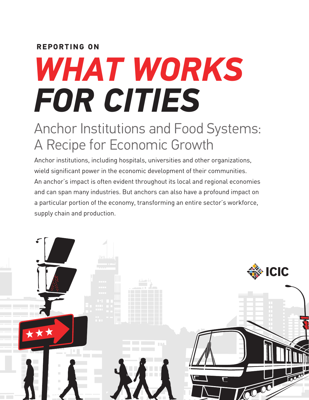# **REPORTING ON**

# *WHAT WORKS FOR CITIES*

# Anchor Institutions and Food Systems: A Recipe for Economic Growth

Anchor institutions, including hospitals, universities and other organizations, wield significant power in the economic development of their communities. An anchor's impact is often evident throughout its local and regional economies and can span many industries. But anchors can also have a profound impact on a particular portion of the economy, transforming an entire sector's workforce, supply chain and production.

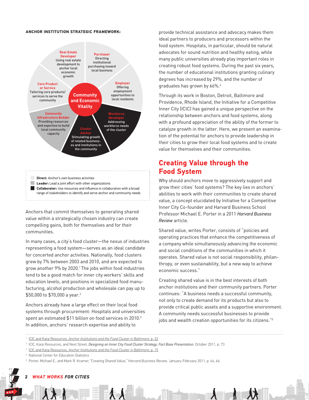#### **ANCHOR INSTITUTION STRATEGIC FRAMEWORK:**



**Direct:** Anchor's own business activities **Leader:** Lead a joint effort with other organizations **Collaborator:** Use resources and influence in collaboration with a broad range of stakeholders to identify and serve anchor and community needs

Anchors that commit themselves to generating shared value within a strategically chosen industry can create compelling gains, both for themselves and for their communities.

In many cases, a city's food cluster—the nexus of industries representing a food system—serves as an ideal candidate for concerted anchor activities. Nationally, food clusters grew by 7% between 2003 and 2010, and are expected to grow another 9% by 2020.1 The jobs within food industries tend to be a good match for inner city workers' skills and education levels, and positions in specialized food manufacturing, alcohol production and wholesale can pay up to \$50,000 to \$70,000 a year.<sup>2</sup>

Anchors already have a large effect on their local food systems through procurement: Hospitals and universities spent an estimated  $$11$  billion on food services in 2010. $3$ In addition, anchors' research expertise and ability to

provide technical assistance and advocacy makes them ideal partners to producers and processors within the food system. Hospitals, in particular, should be natural advocates for sound nutrition and healthy eating, while many public universities already play important roles in creating robust food systems. During the past six years, the number of educational institutions granting culinary degrees has increased by 29%, and the number of graduates has grown by 66%.4

Through its work in Boston, Detroit, Baltimore and Providence, Rhode Island, the Initiative for a Competitive Inner City (ICIC) has gained a unique perspective on the relationship between anchors and food systems, along with a profound appreciation of the ability of the former to catalyze growth in the latter. Here, we present an examination of the potential for anchors to provide leadership in their cities to grow their local food systems and to create value for themselves and their communities.

# **Creating Value through the Food System**

Why should anchors move to aggressively support and grow their cities' food systems? The key lies in anchors' abilities to work with their communities to create shared value, a concept elucidated by Initiative for a Competitive Inner City Co-founder and Harvard Business School Professor Michael E. Porter in a 2011 *Harvard Business Review* article.

Shared value, writes Porter, consists of "policies and operating practices that enhance the competitiveness of a company while simultaneously advancing the economic and social conditions of the communities in which it operates. Shared value is not social responsibility, philanthropy, or even sustainability, but a new way to achieve economic success."

Creating shared value is in the best interests of both anchor institutions and their community partners. Porter continues: "A business needs a successful community, not only to create demand for its products but also to provide critical public assets and a supportive environment. A community needs successful businesses to provide jobs and wealth creation opportunities for its citizens."5

#### $2$  *WHAT WORKS FOR CITIES* AND FOOD SYSTEMS AND FOOD SYSTEMS AND FOOD SYSTEMS AND FOOD SYSTEMS AND FOOD SYSTEMS AND FOOD SYSTEMS AND FOOD SYSTEMS AND FOOD SYSTEMS AND FOOD SYSTEMS AND FOOD SYSTEMS AND FOOD SYSTEMS AND F

<sup>1</sup> ICIC and Karp Resources, *Anchor Institutions and the Food Cluster in Baltimore*, p. 22

<sup>2</sup> ICIC, Karp Resources, and Next Street, *Designing an Inner City Food Cluster Strategy, Fact Base Presentation*, October 2011, p. 73

<sup>3</sup> ICIC and Karp Resources, *Anchor Institutions and the Food Cluster in Baltimore*, p. 15

<sup>4</sup> National Center for Education Statistics

<sup>5</sup> Porter, Michael E., and Mark R. Kramer, "Creating Shared Value," *Harvard Business Review*, January-February 2011, p. 64, 66.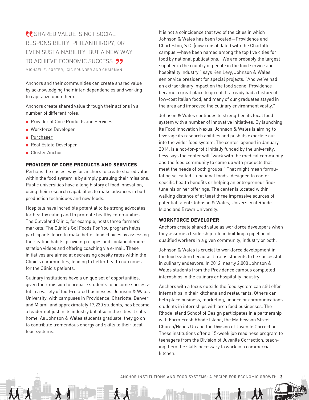## **CONTRACTED VALUE IS NOT SOCIAL** RESPONSIBILITY, PHILANTHROPY, OR EVEN SUSTAINABILITY, BUT A NEW WAY TO ACHIEVE ECONOMIC SUCCESS. 99 MICHAEL E. PORTER, ICIC FOUNDER AND CHAIRMAN

Anchors and their communities can create shared value by acknowledging their inter-dependencies and working to capitalize upon them.

Anchors create shared value through their actions in a number of different roles:

- **Provider of Core Products and Services**
- **Norkforce Developer**
- **Purchaser**
- **Real Estate Developer**
- **Cluster Anchor**

#### **PROVIDER OF CORE PRODUCTS AND SERVICES**

Perhaps the easiest way for anchors to create shared value within the food system is by simply pursuing their missions. Public universities have a long history of food innovation, using their research capabilities to make advances in both production techniques and new foods.

Hospitals have incredible potential to be strong advocates for healthy eating and to promote healthy communities. The Cleveland Clinic, for example, hosts three farmers' markets. The Clinic's Go! Foods For You program helps participants learn to make better food choices by assessing their eating habits, providing recipes and cooking demonstration videos and offering coaching via e-mail. These initiatives are aimed at decreasing obesity rates within the Clinic's communities, leading to better health outcomes for the Clinic's patients.

Culinary institutions have a unique set of opportunities, given their mission to prepare students to become successful in a variety of food-related businesses. Johnson & Wales University, with campuses in Providence, Charlotte, Denver and Miami, and approximately 17,230 students, has become a leader not just in its industry but also in the cities it calls home. As Johnson & Wales students graduate, they go on to contribute tremendous energy and skills to their local food systems.

It is not a coincidence that two of the cities in which Johnson & Wales has been located—Providence and Charleston, S.C. (now consolidated with the Charlotte campus)—have been named among the top five cities for food by national publications. "We are probably the largest supplier in the country of people in the food service and hospitality industry," says Ken Levy, Johnson & Wales' senior vice president for special projects. "And we've had an extraordinary impact on the food scene. Providence became a great place to go eat. It already had a history of low-cost Italian food, and many of our graduates stayed in the area and improved the culinary environment vastly."

Johnson & Wales continues to strengthen its local food system with a number of innovative initiatives. By launching its Food Innovation Nexus, Johnson & Wales is aiming to leverage its research abilities and push its expertise out into the wider food system. The center, opened in January 2014, is a not-for-profit initially funded by the university. Levy says the center will "work with the medical community and the food community to come up with products that meet the needs of both groups." That might mean formulating so-called "functional foods" designed to confer specific health benefits or helping an entrepreneur finetune his or her offerings. The center is located within walking distance of at least three impressive sources of potential talent: Johnson & Wales, University of Rhode Island and Brown University.

#### **WORKFORCE DEVELOPER**

Anchors create shared value as workforce developers when they assume a leadership role in building a pipeline of qualified workers in a given community, industry or both.

Johnson & Wales is crucial to workforce development in the food system because it trains students to be successful in culinary endeavors. In 2012, nearly 2,000 Johnson & Wales students from the Providence campus completed internships in the culinary or hospitality industry.

Anchors with a focus outside the food system can still offer internships in their kitchens and restaurants. Others can help place business, marketing, finance or communications students in internships with area food businesses. The Rhode Island School of Design participates in a partnership with Farm Fresh Rhode Island, the Mathewson Street Church/Heads Up and the Division of Juvenile Correction. These institutions offer a 15-week job readiness program to teenagers from the Division of Juvenile Correction, teaching them the skills necessary to work in a commercial kitchen.

ANCHOR INSTITUTIONS AND FOOD SYSTEMS: A RECIPE FOR ECONOMIC GROWTH **3**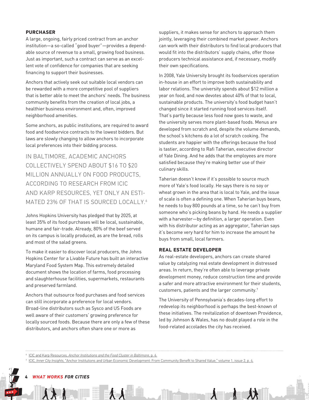#### **PURCHASER**

A large, ongoing, fairly priced contract from an anchor institution—a so-called "good buyer"—provides a dependable source of revenue to a small, growing food business. Just as important, such a contract can serve as an excellent vote of confidence for companies that are seeking financing to support their businesses.

Anchors that actively seek out suitable local vendors can be rewarded with a more competitive pool of suppliers that is better able to meet the anchors' needs. The business community benefits from the creation of local jobs, a healthier business environment and, often, improved neighborhood amenities.

Some anchors, as public institutions, are required to award food and foodservice contracts to the lowest bidders. But laws are slowly changing to allow anchors to incorporate local preferences into their bidding process.

IN BALTIMORE, ACADEMIC ANCHORS COLLECTIVELY SPEND ABOUT \$16 TO \$20 MILLION ANNUALLY ON FOOD PRODUCTS, ACCORDING TO RESEARCH FROM ICIC AND KARP RESOURCES, YET ONLY AN ESTI-MATED 23% OF THAT IS SOURCED LOCALLY.<sup>6</sup>

Johns Hopkins University has pledged that by 2025, at least 35% of its food purchases will be local, sustainable, humane and fair-trade. Already, 80% of the beef served on its campus is locally produced, as are the bread, rolls and most of the salad greens.

To make it easier to discover local producers, the Johns Hopkins Center for a Livable Future has built an interactive Maryland Food System Map. This extremely detailed document shows the location of farms, food processing and slaughterhouse facilities, supermarkets, restaurants and preserved farmland.

Anchors that outsource food purchases and food services can still incorporate a preference for local vendors. Broad-line distributors such as Sysco and US Foods are well aware of their customers' growing preference for locally sourced foods. Because there are only a few of these distributors, and anchors often share one or more as

suppliers, it makes sense for anchors to approach them jointly, leveraging their combined market power. Anchors can work with their distributors to find local producers that would fit into the distributors' supply chains, offer those producers technical assistance and, if necessary, modify their own specifications.

In 2008, Yale University brought its foodservices operation in-house in an effort to improve both sustainability and labor relations. The university spends about \$12 million a year on food, and now devotes about 40% of that to local, sustainable products. The university's food budget hasn't changed since it started running food services itself. That's partly because less food now goes to waste, and the university serves more plant-based foods. Menus are developed from scratch and, despite the volume demands, the school's kitchens do a lot of scratch cooking. The students are happier with the offerings because the food is tastier, according to Rafi Taherian, executive director of Yale Dining. And he adds that the employees are more satisfied because they're making better use of their culinary skills.

Taherian doesn't know if it's possible to source much more of Yale's food locally. He says there is no soy or wheat grown in the area that is local to Yale, and the issue of scale is often a defining one. When Taherian buys beans, he needs to buy 800 pounds at a time, so he can't buy from someone who's picking beans by hand. He needs a supplier with a harvester—by definition, a larger operation. Even with his distributor acting as an aggregator, Taherian says it's become very hard for him to increase the amount he buys from small, local farmers.

#### **REAL ESTATE DEVELOPER**

As real-estate developers, anchors can create shared value by catalyzing real estate development in distressed areas. In return, they're often able to leverage private development money, reduce construction time and provide a safer and more attractive environment for their students, customers, patients and the larger community.7

The University of Pennsylvania's decades-long effort to redevelop its neighborhood is perhaps the best-known of these initiatives. The revitalization of downtown Providence, led by Johnson & Wales, has no doubt played a role in the food-related accolades the city has received.

<sup>6</sup> ICIC and Karp Resources, *Anchor Institutions and the Food Cluster in Baltimore*, p. 6.

<sup>7</sup> ICIC, *Inner City Insights*, "Anchor Institutions and Urban Economic Development: From Community Benefit to Shared Value," volume 1, issue 2, p. 4.

 $4$  *WHAT WORKS FOR CITIES* and for each of the conomic systems and for each of the conomic growth for each of the conomic growth systems and for each of the conomic growth systems and for each of the conomic growth syst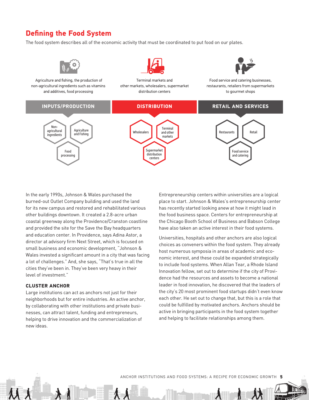# **Defining the Food System**

The food system describes all of the economic activity that must be coordinated to put food on our plates.



In the early 1990s, Johnson & Wales purchased the burned-out Outlet Company building and used the land for its new campus and restored and rehabilitated various other buildings downtown. It created a 2.8-acre urban coastal greenway along the Providence/Cranston coastline and provided the site for the Save the Bay headquarters and education center. In Providence, says Adina Astor, a director at advisory firm Next Street, which is focused on small business and economic development, "Johnson & Wales invested a significant amount in a city that was facing a lot of challenges." And, she says, "That's true in all the cities they've been in. They've been very heavy in their level of investment."

#### **CLUSTER ANCHOR**

Large institutions can act as anchors not just for their neighborhoods but for entire industries. An active anchor, by collaborating with other institutions and private businesses, can attract talent, funding and entrepreneurs, helping to drive innovation and the commercialization of new ideas.

Entrepreneurship centers within universities are a logical place to start. Johnson & Wales's entrepreneurship center has recently started looking anew at how it might lead in the food business space. Centers for entrepreneurship at the Chicago Booth School of Business and Babson College have also taken an active interest in their food systems.

Universities, hospitals and other anchors are also logical choices as conveners within the food system. They already host numerous symposia in areas of academic and economic interest, and these could be expanded strategically to include food systems. When Allan Tear, a Rhode Island Innovation fellow, set out to determine if the city of Providence had the resources and assets to become a national leader in food innovation, he discovered that the leaders of the city's 20 most prominent food startups didn't even know each other. He set out to change that, but this is a role that could be fulfilled by motivated anchors. Anchors should be active in bringing participants in the food system together and helping to facilitate relationships among them.

ANCHOR INSTITUTIONS AND FOOD SYSTEMS: A RECIPE FOR ECONOMIC GROWTH **5**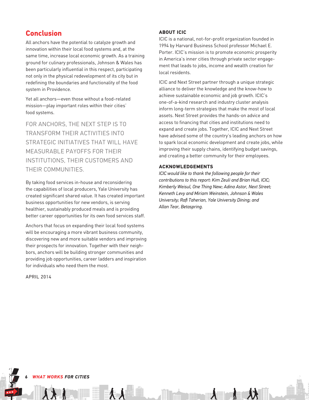### **Conclusion**

All anchors have the potential to catalyze growth and innovation within their local food systems and, at the same time, increase local economic growth. As a training ground for culinary professionals, Johnson & Wales has been particularly influential in this respect, participating not only in the physical redevelopment of its city but in redefining the boundaries and functionality of the food system in Providence.

Yet all anchors—even those without a food-related mission—play important roles within their cities' food systems.

FOR ANCHORS, THE NEXT STEP IS TO TRANSFORM THEIR ACTIVITIES INTO STRATEGIC INITIATIVES THAT WILL HAVE MEASURABLE PAYOFFS FOR THEIR INSTITUTIONS, THEIR CUSTOMERS AND THEIR COMMUNITIES.

By taking food services in-house and reconsidering the capabilities of local producers, Yale University has created significant shared value. It has created important business opportunities for new vendors, is serving healthier, sustainably produced meals and is providing better career opportunities for its own food services staff.

Anchors that focus on expanding their local food systems will be encouraging a more vibrant business community, discovering new and more suitable vendors and improving their prospects for innovation. Together with their neighbors, anchors will be building stronger communities and providing job opportunities, career ladders and inspiration for individuals who need them the most.

APRIL 2014

#### **ABOUT ICIC**

ICIC is a national, not-for-profit organization founded in 1994 by Harvard Business School professor Michael E. Porter. ICIC's mission is to promote economic prosperity in America's inner cities through private sector engagement that leads to jobs, income and wealth creation for local residents.

ICIC and Next Street partner through a unique strategic alliance to deliver the knowledge and the know-how to achieve sustainable economic and job growth. ICIC's one-of-a-kind research and industry cluster analysis inform long-term strategies that make the most of local assets. Next Street provides the hands-on advice and access to financing that cities and institutions need to expand and create jobs. Together, ICIC and Next Street have advised some of the country's leading anchors on how to spark local economic development and create jobs, while improving their supply chains, identifying budget savings, and creating a better community for their employees.

#### **ACKNOWLEDGEMENTS**

*ICIC would like to thank the following people for their contributions to this report: Kim Zeuli and Brian Hull, ICIC; Kimberly Weisul, One Thing New; Adina Astor, Next Street; Kenneth Levy and Miriam Weinstein, Johnson & Wales University; Rafi Taherian, Yale University Dining; and Allan Tear, Betaspring.*